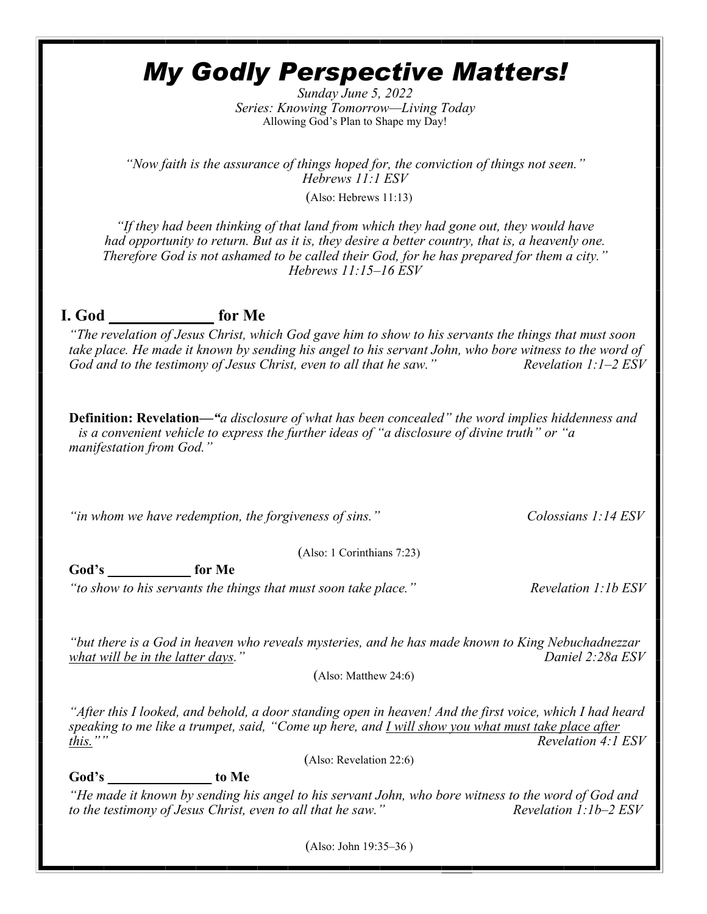# *My Godly Perspective Matters!*

*Sunday June 5, 2022 Series: Knowing Tomorrow—Living Today* Allowing God's Plan to Shape my Day!

*"Now faith is the assurance of things hoped for, the conviction of things not seen." Hebrews 11:1 ESV*

(Also: Hebrews 11:13)

*"If they had been thinking of that land from which they had gone out, they would have had opportunity to return. But as it is, they desire a better country, that is, a heavenly one. Therefore God is not ashamed to be called their God, for he has prepared for them a city." Hebrews 11:15–16 ESV*

# **I. God \_\_\_\_\_\_\_\_\_\_\_\_\_ for Me**

*"The revelation of Jesus Christ, which God gave him to show to his servants the things that must soon take place. He made it known by sending his angel to his servant John, who bore witness to the word of God and to the testimony of Jesus Christ, even to all that he saw." Revelation 1:1–2 ESV*

**Definition: Revelation***—"a disclosure of what has been concealed" the word implies hiddenness and is a convenient vehicle to express the further ideas of "a disclosure of divine truth" or "a manifestation from God."* 

*"in whom we have redemption, the forgiveness of sins." Colossians 1:14 ESV* 

(Also: 1 Corinthians 7:23)

**God's \_\_\_\_\_\_\_\_\_\_\_\_ for Me**

*"to show to his servants the things that must soon take place." Revelation 1:1b ESV*

*"but there is a God in heaven who reveals mysteries, and he has made known to King Nebuchadnezzar what will be in the latter days.*"

(Also: Matthew 24:6)

*"After this I looked, and behold, a door standing open in heaven! And the first voice, which I had heard speaking to me like a trumpet, said, "Come up here, and I will show you what must take place after this."" Revelation 4:1 ESV*

(Also: Revelation 22:6)

**God's \_\_\_\_\_\_\_\_\_\_\_\_\_\_\_ to Me**

*"He made it known by sending his angel to his servant John, who bore witness to the word of God and to the testimony of Jesus Christ, even to all that he saw." Revelation 1:1b–2 ESV*

(Also: John 19:35–36 )